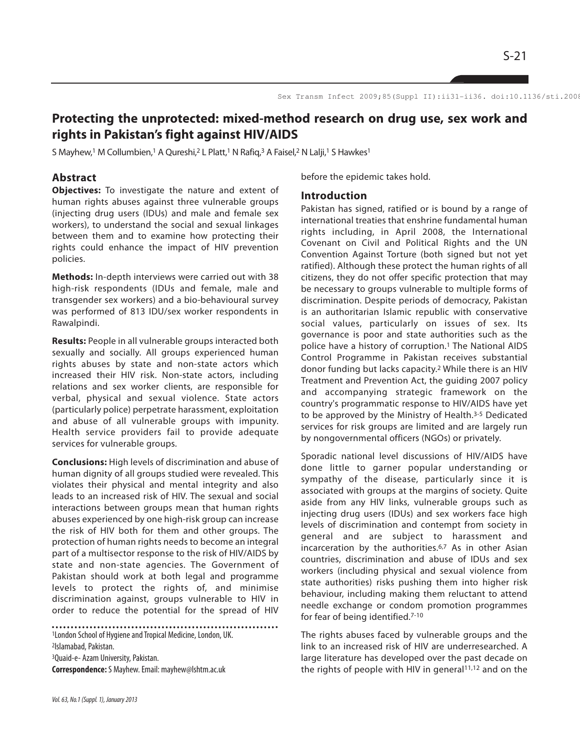Sex Transm Infect 2009;85(Suppl II):ii31-ii36. doi:10.1136/sti.2008

# **Protecting the unprotected: mixed-method research on drug use, sex work and rights in Pakistan's fight against HIV/AIDS**

S Mayhew,<sup>1</sup> M Collumbien,<sup>1</sup> A Qureshi,<sup>2</sup> L Platt,<sup>1</sup> N Rafiq,<sup>3</sup> A Faisel,<sup>2</sup> N Lalji,<sup>1</sup> S Hawkes<sup>1</sup>

### **Abstract**

**Objectives:** To investigate the nature and extent of human rights abuses against three vulnerable groups (injecting drug users (IDUs) and male and female sex workers), to understand the social and sexual linkages between them and to examine how protecting their rights could enhance the impact of HIV prevention policies.

**Methods:** In-depth interviews were carried out with 38 high-risk respondents (IDUs and female, male and transgender sex workers) and a bio-behavioural survey was performed of 813 IDU/sex worker respondents in Rawalpindi.

**Results:** People in all vulnerable groups interacted both sexually and socially. All groups experienced human rights abuses by state and non-state actors which increased their HIV risk. Non-state actors, including relations and sex worker clients, are responsible for verbal, physical and sexual violence. State actors (particularly police) perpetrate harassment, exploitation and abuse of all vulnerable groups with impunity. Health service providers fail to provide adequate services for vulnerable groups.

**Conclusions:** High levels of discrimination and abuse of human dignity of all groups studied were revealed. This violates their physical and mental integrity and also leads to an increased risk of HIV. The sexual and social interactions between groups mean that human rights abuses experienced by one high-risk group can increase the risk of HIV both for them and other groups. The protection of human rights needs to become an integral part of a multisector response to the risk of HIV/AIDS by state and non-state agencies. The Government of Pakistan should work at both legal and programme levels to protect the rights of, and minimise discrimination against, groups vulnerable to HIV in order to reduce the potential for the spread of HIV

<sup>1</sup>London School of Hygiene and Tropical Medicine, London, UK. 2 Islamabad, Pakistan. <sup>3</sup>Quaid-e- Azam University, Pakistan. **Correspondence:** S Mayhew. Email: mayhew@lshtm.ac.uk

before the epidemic takes hold.

### **Introduction**

Pakistan has signed, ratified or is bound by a range of international treaties that enshrine fundamental human rights including, in April 2008, the International Covenant on Civil and Political Rights and the UN Convention Against Torture (both signed but not yet ratified). Although these protect the human rights of all citizens, they do not offer specific protection that may be necessary to groups vulnerable to multiple forms of discrimination. Despite periods of democracy, Pakistan is an authoritarian Islamic republic with conservative social values, particularly on issues of sex. Its governance is poor and state authorities such as the police have a history of corruption.<sup>1</sup> The National AIDS Control Programme in Pakistan receives substantial donor funding but lacks capacity.<sup>2</sup> While there is an HIV Treatment and Prevention Act, the guiding 2007 policy and accompanying strategic framework on the country's programmatic response to HIV/AIDS have yet to be approved by the Ministry of Health.<sup>3-5</sup> Dedicated services for risk groups are limited and are largely run by nongovernmental officers (NGOs) or privately.

Sporadic national level discussions of HIV/AIDS have done little to garner popular understanding or sympathy of the disease, particularly since it is associated with groups at the margins of society. Quite aside from any HIV links, vulnerable groups such as injecting drug users (IDUs) and sex workers face high levels of discrimination and contempt from society in general and are subject to harassment and incarceration by the authorities.6,7 As in other Asian countries, discrimination and abuse of IDUs and sex workers (including physical and sexual violence from state authorities) risks pushing them into higher risk behaviour, including making them reluctant to attend needle exchange or condom promotion programmes for fear of being identified.7-10

The rights abuses faced by vulnerable groups and the link to an increased risk of HIV are underresearched. A large literature has developed over the past decade on the rights of people with HIV in general<sup>11,12</sup> and on the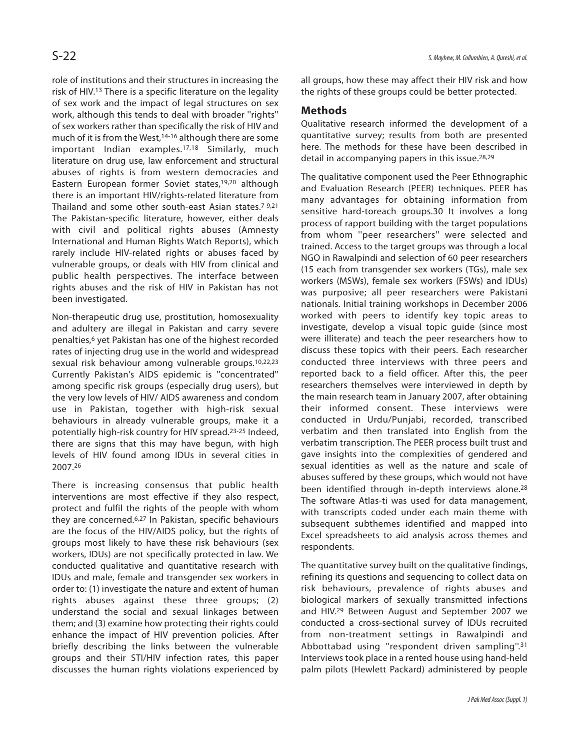role of institutions and their structures in increasing the risk of HIV.<sup>13</sup> There is a specific literature on the legality of sex work and the impact of legal structures on sex work, although this tends to deal with broader ''rights'' of sex workers rather than specifically the risk of HIV and much of it is from the West,14-16 although there are some important Indian examples.17,18 Similarly, much literature on drug use, law enforcement and structural abuses of rights is from western democracies and Eastern European former Soviet states,19,20 although there is an important HIV/rights-related literature from Thailand and some other south-east Asian states.<sup>7-9,21</sup> The Pakistan-specific literature, however, either deals with civil and political rights abuses (Amnesty International and Human Rights Watch Reports), which rarely include HIV-related rights or abuses faced by vulnerable groups, or deals with HIV from clinical and public health perspectives. The interface between rights abuses and the risk of HIV in Pakistan has not been investigated.

Non-therapeutic drug use, prostitution, homosexuality and adultery are illegal in Pakistan and carry severe penalties,<sup>6</sup> yet Pakistan has one of the highest recorded rates of injecting drug use in the world and widespread sexual risk behaviour among vulnerable groups.10,22,23 Currently Pakistan's AIDS epidemic is ''concentrated'' among specific risk groups (especially drug users), but the very low levels of HIV/ AIDS awareness and condom use in Pakistan, together with high-risk sexual behaviours in already vulnerable groups, make it a potentially high-risk country for HIV spread.23-25 Indeed, there are signs that this may have begun, with high levels of HIV found among IDUs in several cities in 2007.<sup>26</sup>

There is increasing consensus that public health interventions are most effective if they also respect, protect and fulfil the rights of the people with whom they are concerned.6,27 In Pakistan, specific behaviours are the focus of the HIV/AIDS policy, but the rights of groups most likely to have these risk behaviours (sex workers, IDUs) are not specifically protected in law. We conducted qualitative and quantitative research with IDUs and male, female and transgender sex workers in order to: (1) investigate the nature and extent of human rights abuses against these three groups; (2) understand the social and sexual linkages between them; and (3) examine how protecting their rights could enhance the impact of HIV prevention policies. After briefly describing the links between the vulnerable groups and their STI/HIV infection rates, this paper discusses the human rights violations experienced by all groups, how these may affect their HIV risk and how the rights of these groups could be better protected.

### **Methods**

Qualitative research informed the development of a quantitative survey; results from both are presented here. The methods for these have been described in detail in accompanying papers in this issue.28,29

The qualitative component used the Peer Ethnographic and Evaluation Research (PEER) techniques. PEER has many advantages for obtaining information from sensitive hard-toreach groups.30 It involves a long process of rapport building with the target populations from whom ''peer researchers'' were selected and trained. Access to the target groups was through a local NGO in Rawalpindi and selection of 60 peer researchers (15 each from transgender sex workers (TGs), male sex workers (MSWs), female sex workers (FSWs) and IDUs) was purposive; all peer researchers were Pakistani nationals. Initial training workshops in December 2006 worked with peers to identify key topic areas to investigate, develop a visual topic guide (since most were illiterate) and teach the peer researchers how to discuss these topics with their peers. Each researcher conducted three interviews with three peers and reported back to a field officer. After this, the peer researchers themselves were interviewed in depth by the main research team in January 2007, after obtaining their informed consent. These interviews were conducted in Urdu/Punjabi, recorded, transcribed verbatim and then translated into English from the verbatim transcription. The PEER process built trust and gave insights into the complexities of gendered and sexual identities as well as the nature and scale of abuses suffered by these groups, which would not have been identified through in-depth interviews alone.<sup>28</sup> The software Atlas-ti was used for data management, with transcripts coded under each main theme with subsequent subthemes identified and mapped into Excel spreadsheets to aid analysis across themes and respondents.

The quantitative survey built on the qualitative findings, refining its questions and sequencing to collect data on risk behaviours, prevalence of rights abuses and biological markers of sexually transmitted infections and HIV.<sup>29</sup> Between August and September 2007 we conducted a cross-sectional survey of IDUs recruited from non-treatment settings in Rawalpindi and Abbottabad using ''respondent driven sampling''.<sup>31</sup> Interviews took place in a rented house using hand-held palm pilots (Hewlett Packard) administered by people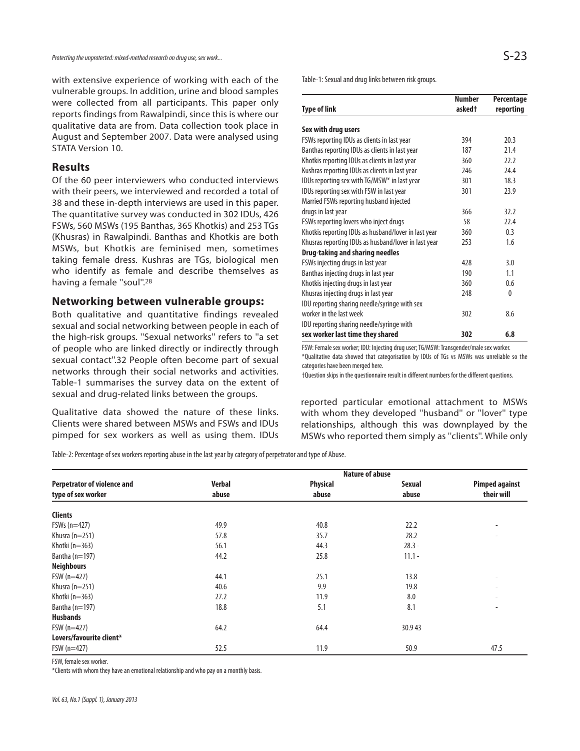*Protecting the unprotected: mixed-method research on drug use, sex work...* S-23

with extensive experience of working with each of the vulnerable groups. In addition, urine and blood samples were collected from all participants. This paper only reports findings from Rawalpindi, since this is where our qualitative data are from. Data collection took place in August and September 2007. Data were analysed using STATA Version 10.

### **Results**

Of the 60 peer interviewers who conducted interviews with their peers, we interviewed and recorded a total of 38 and these in-depth interviews are used in this paper. The quantitative survey was conducted in 302 IDUs, 426 FSWs, 560 MSWs (195 Banthas, 365 Khotkis) and 253 TGs (Khusras) in Rawalpindi. Banthas and Khotkis are both MSWs, but Khotkis are feminised men, sometimes taking female dress. Kushras are TGs, biological men who identify as female and describe themselves as having a female "soul".<sup>28</sup>

### **Networking between vulnerable groups:**

Both qualitative and quantitative findings revealed sexual and social networking between people in each of the high-risk groups. ''Sexual networks'' refers to ''a set of people who are linked directly or indirectly through sexual contact''.32 People often become part of sexual networks through their social networks and activities. Table-1 summarises the survey data on the extent of sexual and drug-related links between the groups.

Qualitative data showed the nature of these links. Clients were shared between MSWs and FSWs and IDUs pimped for sex workers as well as using them. IDUs Table-1: Sexual and drug links between risk groups.

|                                                      | <b>Number</b> | Percentage |
|------------------------------------------------------|---------------|------------|
| <b>Type of link</b>                                  | asked†        | reporting  |
| Sex with drug users                                  |               |            |
| FSWs reporting IDUs as clients in last year          | 394           | 20.3       |
| Banthas reporting IDUs as clients in last year       | 187           | 21.4       |
| Khotkis reporting IDUs as clients in last year       | 360           | 22.2       |
| Kushras reporting IDUs as clients in last year       | 246           | 24.4       |
| IDUs reporting sex with TG/MSW* in last year         | 301           | 18.3       |
| IDUs reporting sex with FSW in last year             | 301           | 23.9       |
| Married FSWs reporting husband injected              |               |            |
| drugs in last year                                   | 366           | 32.2       |
| FSWs reporting lovers who inject drugs               | 58            | 22.4       |
| Khotkis reporting IDUs as husband/lover in last year | 360           | 0.3        |
| Khusras reporting IDUs as husband/lover in last year | 253           | 1.6        |
| <b>Drug-taking and sharing needles</b>               |               |            |
| FSWs injecting drugs in last year                    | 428           | 3.0        |
| Banthas injecting drugs in last year                 | 190           | 1.1        |
| Khotkis injecting drugs in last year                 | 360           | 0.6        |
| Khusras injecting drugs in last year                 | 248           | 0          |
| IDU reporting sharing needle/syringe with sex        |               |            |
| worker in the last week                              | 302           | 8.6        |
| IDU reporting sharing needle/syringe with            |               |            |
| sex worker last time they shared                     | 302           | 6.8        |

FSW: Female sex worker; IDU: Injecting drug user; TG/MSW: Transgender/male sex worker. \*Qualitative data showed that categorisation by IDUs of TGs vs MSWs was unreliable so the categories have been merged here.

†Question skips in the questionnaire result in different numbers for the different questions.

reported particular emotional attachment to MSWs with whom they developed ''husband'' or ''lover'' type relationships, although this was downplayed by the MSWs who reported them simply as ''clients''. While only

Table-2: Percentage of sex workers reporting abuse in the last year by category of perpetrator and type of Abuse.

| <b>Perpetrator of violence and</b><br>type of sex worker | <b>Nature of abuse</b> |                          |                 |                                     |
|----------------------------------------------------------|------------------------|--------------------------|-----------------|-------------------------------------|
|                                                          | <b>Verbal</b><br>abuse | <b>Physical</b><br>abuse | Sexual<br>abuse | <b>Pimped against</b><br>their will |
|                                                          |                        |                          |                 |                                     |
| $FSWs(n=427)$                                            | 49.9                   | 40.8                     | 22.2            |                                     |
| Khusra $(n=251)$                                         | 57.8                   | 35.7                     | 28.2            |                                     |
| Khotki (n=363)                                           | 56.1                   | 44.3                     | $28.3 -$        |                                     |
| Bantha ( $n=197$ )                                       | 44.2                   | 25.8                     | $11.1 -$        |                                     |
| <b>Neighbours</b>                                        |                        |                          |                 |                                     |
| $FSW(n=427)$                                             | 44.1                   | 25.1                     | 13.8            |                                     |
| Khusra $(n=251)$                                         | 40.6                   | 9.9                      | 19.8            |                                     |
| Khotki ( $n=363$ )                                       | 27.2                   | 11.9                     | 8.0             |                                     |
| Bantha ( $n=197$ )                                       | 18.8                   | 5.1                      | 8.1             |                                     |
| <b>Husbands</b>                                          |                        |                          |                 |                                     |
| $FSW(n=427)$                                             | 64.2                   | 64.4                     | 30.943          |                                     |
| Lovers/favourite client*                                 |                        |                          |                 |                                     |
| $FSW(n=427)$                                             | 52.5                   | 11.9                     | 50.9            | 47.5                                |

FSW, female sex worker.

\*Clients with whom they have an emotional relationship and who pay on a monthly basis.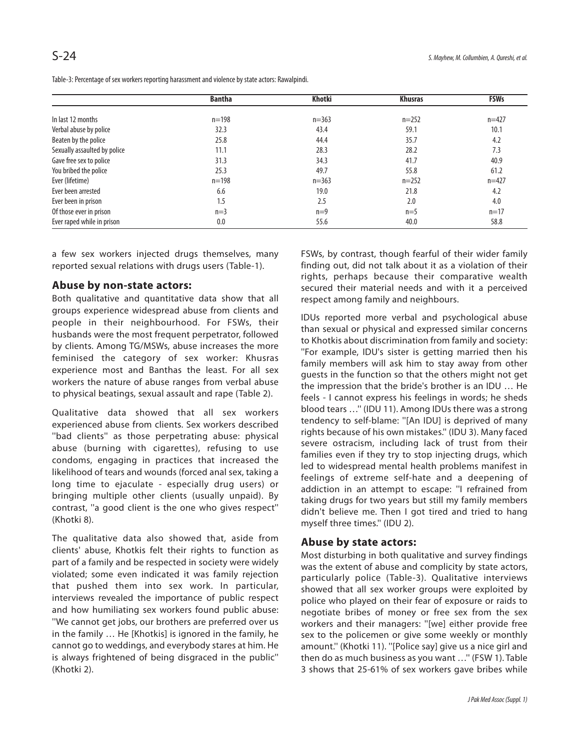|                              | <b>Bantha</b> | Khotki    | <b>Khusras</b> | <b>FSWs</b> |
|------------------------------|---------------|-----------|----------------|-------------|
| In last 12 months            | $n = 198$     | $n = 363$ | $n=252$        | $n=427$     |
| Verbal abuse by police       | 32.3          | 43.4      | 59.1           | 10.1        |
| Beaten by the police         | 25.8          | 44.4      | 35.7           | 4.2         |
| Sexually assaulted by police | 11.1          | 28.3      | 28.2           | 7.3         |
| Gave free sex to police      | 31.3          | 34.3      | 41.7           | 40.9        |
| You bribed the police        | 25.3          | 49.7      | 55.8           | 61.2        |
| Ever (lifetime)              | $n = 198$     | $n = 363$ | $n = 252$      | $n=427$     |
| Ever been arrested           | 6.6           | 19.0      | 21.8           | 4.2         |
| Ever been in prison          | 1.5           | 2.5       | 2.0            | 4.0         |
| Of those ever in prison      | $n=3$         | $n=9$     | $n=5$          | $n=17$      |
| Ever raped while in prison   | 0.0           | 55.6      | 40.0           | 58.8        |

Table-3: Percentage of sex workers reporting harassment and violence by state actors: Rawalpindi.

a few sex workers injected drugs themselves, many reported sexual relations with drugs users (Table-1).

### **Abuse by non-state actors:**

Both qualitative and quantitative data show that all groups experience widespread abuse from clients and people in their neighbourhood. For FSWs, their husbands were the most frequent perpetrator, followed by clients. Among TG/MSWs, abuse increases the more feminised the category of sex worker: Khusras experience most and Banthas the least. For all sex workers the nature of abuse ranges from verbal abuse to physical beatings, sexual assault and rape (Table 2).

Qualitative data showed that all sex workers experienced abuse from clients. Sex workers described "bad clients" as those perpetrating abuse: physical abuse (burning with cigarettes), refusing to use condoms, engaging in practices that increased the likelihood of tears and wounds (forced anal sex, taking a long time to ejaculate - especially drug users) or bringing multiple other clients (usually unpaid). By contrast, ''a good client is the one who gives respect'' (Khotki 8).

The qualitative data also showed that, aside from clients' abuse, Khotkis felt their rights to function as part of a family and be respected in society were widely violated; some even indicated it was family rejection that pushed them into sex work. In particular, interviews revealed the importance of public respect and how humiliating sex workers found public abuse: ''We cannot get jobs, our brothers are preferred over us in the family … He [Khotkis] is ignored in the family, he cannot go to weddings, and everybody stares at him. He is always frightened of being disgraced in the public'' (Khotki 2).

FSWs, by contrast, though fearful of their wider family finding out, did not talk about it as a violation of their rights, perhaps because their comparative wealth secured their material needs and with it a perceived respect among family and neighbours.

IDUs reported more verbal and psychological abuse than sexual or physical and expressed similar concerns to Khotkis about discrimination from family and society: ''For example, IDU's sister is getting married then his family members will ask him to stay away from other guests in the function so that the others might not get the impression that the bride's brother is an IDU … He feels - I cannot express his feelings in words; he sheds blood tears …'' (IDU 11). Among IDUs there was a strong tendency to self-blame: ''[An IDU] is deprived of many rights because of his own mistakes.'' (IDU 3). Many faced severe ostracism, including lack of trust from their families even if they try to stop injecting drugs, which led to widespread mental health problems manifest in feelings of extreme self-hate and a deepening of addiction in an attempt to escape: ''I refrained from taking drugs for two years but still my family members didn't believe me. Then I got tired and tried to hang myself three times.'' (IDU 2).

### **Abuse by state actors:**

Most disturbing in both qualitative and survey findings was the extent of abuse and complicity by state actors, particularly police (Table-3). Qualitative interviews showed that all sex worker groups were exploited by police who played on their fear of exposure or raids to negotiate bribes of money or free sex from the sex workers and their managers: ''[we] either provide free sex to the policemen or give some weekly or monthly amount.'' (Khotki 11). ''[Police say] give us a nice girl and then do as much business as you want …'' (FSW 1). Table 3 shows that 25-61% of sex workers gave bribes while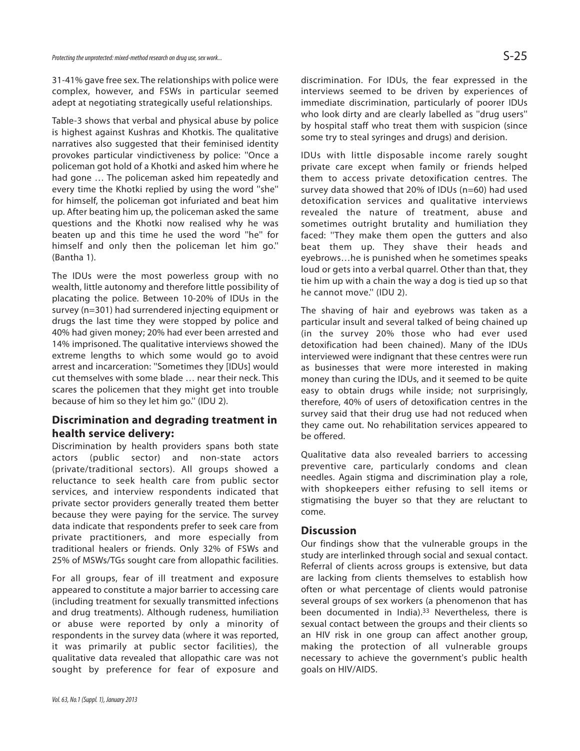31-41% gave free sex. The relationships with police were complex, however, and FSWs in particular seemed adept at negotiating strategically useful relationships.

Table-3 shows that verbal and physical abuse by police is highest against Kushras and Khotkis. The qualitative narratives also suggested that their feminised identity provokes particular vindictiveness by police: ''Once a policeman got hold of a Khotki and asked him where he had gone … The policeman asked him repeatedly and every time the Khotki replied by using the word ''she'' for himself, the policeman got infuriated and beat him up. After beating him up, the policeman asked the same questions and the Khotki now realised why he was beaten up and this time he used the word ''he'' for himself and only then the policeman let him go.'' (Bantha 1).

The IDUs were the most powerless group with no wealth, little autonomy and therefore little possibility of placating the police. Between 10-20% of IDUs in the survey (n=301) had surrendered injecting equipment or drugs the last time they were stopped by police and 40% had given money; 20% had ever been arrested and 14% imprisoned. The qualitative interviews showed the extreme lengths to which some would go to avoid arrest and incarceration: ''Sometimes they [IDUs] would cut themselves with some blade … near their neck. This scares the policemen that they might get into trouble because of him so they let him go.'' (IDU 2).

# **Discrimination and degrading treatment in health service delivery:**

Discrimination by health providers spans both state actors (public sector) and non-state actors (private/traditional sectors). All groups showed a reluctance to seek health care from public sector services, and interview respondents indicated that private sector providers generally treated them better because they were paying for the service. The survey data indicate that respondents prefer to seek care from private practitioners, and more especially from traditional healers or friends. Only 32% of FSWs and 25% of MSWs/TGs sought care from allopathic facilities.

For all groups, fear of ill treatment and exposure appeared to constitute a major barrier to accessing care (including treatment for sexually transmitted infections and drug treatments). Although rudeness, humiliation or abuse were reported by only a minority of respondents in the survey data (where it was reported, it was primarily at public sector facilities), the qualitative data revealed that allopathic care was not sought by preference for fear of exposure and

interviews seemed to be driven by experiences of immediate discrimination, particularly of poorer IDUs who look dirty and are clearly labelled as ''drug users'' by hospital staff who treat them with suspicion (since some try to steal syringes and drugs) and derision.

IDUs with little disposable income rarely sought private care except when family or friends helped them to access private detoxification centres. The survey data showed that 20% of IDUs (n=60) had used detoxification services and qualitative interviews revealed the nature of treatment, abuse and sometimes outright brutality and humiliation they faced: ''They make them open the gutters and also beat them up. They shave their heads and eyebrows…he is punished when he sometimes speaks loud or gets into a verbal quarrel. Other than that, they tie him up with a chain the way a dog is tied up so that he cannot move.'' (IDU 2).

The shaving of hair and eyebrows was taken as a particular insult and several talked of being chained up (in the survey 20% those who had ever used detoxification had been chained). Many of the IDUs interviewed were indignant that these centres were run as businesses that were more interested in making money than curing the IDUs, and it seemed to be quite easy to obtain drugs while inside; not surprisingly, therefore, 40% of users of detoxification centres in the survey said that their drug use had not reduced when they came out. No rehabilitation services appeared to be offered.

Qualitative data also revealed barriers to accessing preventive care, particularly condoms and clean needles. Again stigma and discrimination play a role, with shopkeepers either refusing to sell items or stigmatising the buyer so that they are reluctant to come.

## **Discussion**

Our findings show that the vulnerable groups in the study are interlinked through social and sexual contact. Referral of clients across groups is extensive, but data are lacking from clients themselves to establish how often or what percentage of clients would patronise several groups of sex workers (a phenomenon that has been documented in India).<sup>33</sup> Nevertheless, there is sexual contact between the groups and their clients so an HIV risk in one group can affect another group, making the protection of all vulnerable groups necessary to achieve the government's public health goals on HIV/AIDS.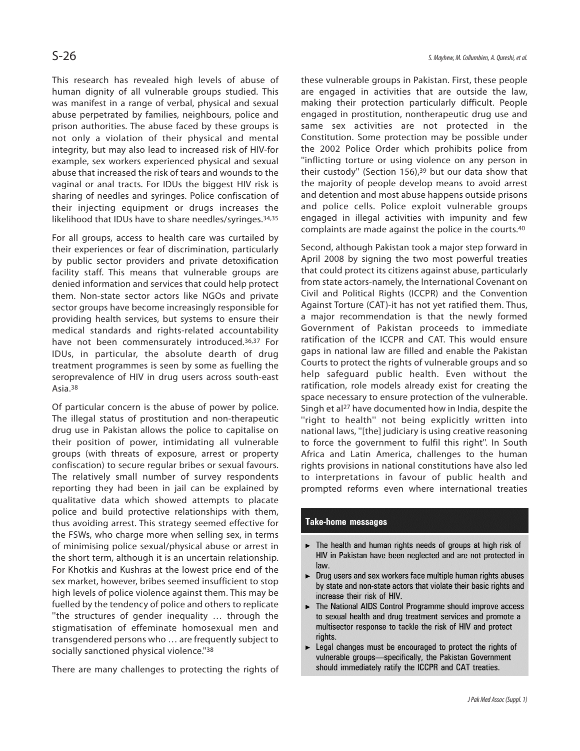This research has revealed high levels of abuse of human dignity of all vulnerable groups studied. This was manifest in a range of verbal, physical and sexual abuse perpetrated by families, neighbours, police and prison authorities. The abuse faced by these groups is not only a violation of their physical and mental integrity, but may also lead to increased risk of HIV-for example, sex workers experienced physical and sexual abuse that increased the risk of tears and wounds to the vaginal or anal tracts. For IDUs the biggest HIV risk is sharing of needles and syringes. Police confiscation of their injecting equipment or drugs increases the likelihood that IDUs have to share needles/syringes. 34,35

For all groups, access to health care was curtailed by their experiences or fear of discrimination, particularly by public sector providers and private detoxification facility staff. This means that vulnerable groups are denied information and services that could help protect them. Non-state sector actors like NGOs and private sector groups have become increasingly responsible for providing health services, but systems to ensure their medical standards and rights-related accountability have not been commensurately introduced.36,37 For IDUs, in particular, the absolute dearth of drug treatment programmes is seen by some as fuelling the seroprevalence of HIV in drug users across south-east Asia.<sup>38</sup>

Of particular concern is the abuse of power by police. The illegal status of prostitution and non-therapeutic drug use in Pakistan allows the police to capitalise on their position of power, intimidating all vulnerable groups (with threats of exposure, arrest or property confiscation) to secure regular bribes or sexual favours. The relatively small number of survey respondents reporting they had been in jail can be explained by qualitative data which showed attempts to placate police and build protective relationships with them, thus avoiding arrest. This strategy seemed effective for the FSWs, who charge more when selling sex, in terms of minimising police sexual/physical abuse or arrest in the short term, although it is an uncertain relationship. For Khotkis and Kushras at the lowest price end of the sex market, however, bribes seemed insufficient to stop high levels of police violence against them. This may be fuelled by the tendency of police and others to replicate ''the structures of gender inequality … through the stigmatisation of effeminate homosexual men and transgendered persons who … are frequently subject to socially sanctioned physical violence."<sup>38</sup>

There are many challenges to protecting the rights of

these vulnerable groups in Pakistan. First, these people are engaged in activities that are outside the law, making their protection particularly difficult. People engaged in prostitution, nontherapeutic drug use and same sex activities are not protected in the Constitution. Some protection may be possible under the 2002 Police Order which prohibits police from ''inflicting torture or using violence on any person in their custody" (Section 156),<sup>39</sup> but our data show that the majority of people develop means to avoid arrest and detention and most abuse happens outside prisons and police cells. Police exploit vulnerable groups engaged in illegal activities with impunity and few complaints are made against the police in the courts.<sup>40</sup>

Second, although Pakistan took a major step forward in April 2008 by signing the two most powerful treaties that could protect its citizens against abuse, particularly from state actors-namely, the International Covenant on Civil and Political Rights (ICCPR) and the Convention Against Torture (CAT)-it has not yet ratified them. Thus, a major recommendation is that the newly formed Government of Pakistan proceeds to immediate ratification of the ICCPR and CAT. This would ensure gaps in national law are filled and enable the Pakistan Courts to protect the rights of vulnerable groups and so help safeguard public health. Even without the ratification, role models already exist for creating the space necessary to ensure protection of the vulnerable. Singh et al<sup>27</sup> have documented how in India, despite the ''right to health'' not being explicitly written into national laws, ''[the] judiciary is using creative reasoning to force the government to fulfil this right''. In South Africa and Latin America, challenges to the human rights provisions in national constitutions have also led to interpretations in favour of public health and prompted reforms even where international treaties

#### **Take-home messages**

- The health and human rights needs of groups at high risk of HIV in Pakistan have been neglected and are not protected in law.
- $\blacktriangleright$ Drug users and sex workers face multiple human rights abuses by state and non-state actors that violate their basic rights and increase their risk of HIV.
- The National AIDS Control Programme should improve access  $\blacktriangleright$ to sexual health and drug treatment services and promote a multisector response to tackle the risk of HIV and protect rights.
- Legal changes must be encouraged to protect the rights of  $\blacktriangleright$ vulnerable groups-specifically, the Pakistan Government should immediately ratify the ICCPR and CAT treaties.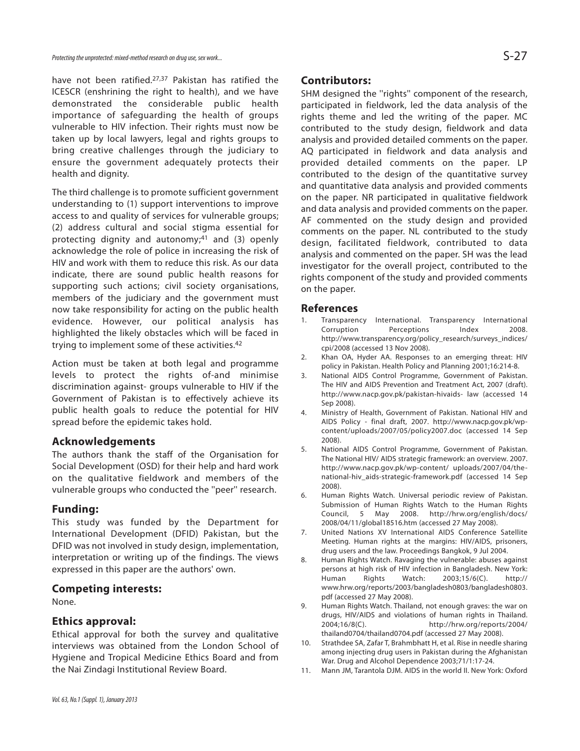have not been ratified.27,37 Pakistan has ratified the ICESCR (enshrining the right to health), and we have demonstrated the considerable public health importance of safeguarding the health of groups vulnerable to HIV infection. Their rights must now be taken up by local lawyers, legal and rights groups to bring creative challenges through the judiciary to ensure the government adequately protects their health and dignity.

The third challenge is to promote sufficient government understanding to (1) support interventions to improve access to and quality of services for vulnerable groups; (2) address cultural and social stigma essential for protecting dignity and autonomy;<sup>41</sup> and (3) openly acknowledge the role of police in increasing the risk of HIV and work with them to reduce this risk. As our data indicate, there are sound public health reasons for supporting such actions; civil society organisations, members of the judiciary and the government must now take responsibility for acting on the public health evidence. However, our political analysis has highlighted the likely obstacles which will be faced in trying to implement some of these activities.<sup>42</sup>

Action must be taken at both legal and programme levels to protect the rights of-and minimise discrimination against- groups vulnerable to HIV if the Government of Pakistan is to effectively achieve its public health goals to reduce the potential for HIV spread before the epidemic takes hold.

### **Acknowledgements**

The authors thank the staff of the Organisation for Social Development (OSD) for their help and hard work on the qualitative fieldwork and members of the vulnerable groups who conducted the ''peer'' research.

### **Funding:**

This study was funded by the Department for International Development (DFID) Pakistan, but the DFID was not involved in study design, implementation, interpretation or writing up of the findings. The views expressed in this paper are the authors' own.

### **Competing interests:**

None.

### **Ethics approval:**

Ethical approval for both the survey and qualitative interviews was obtained from the London School of Hygiene and Tropical Medicine Ethics Board and from the Nai Zindagi Institutional Review Board.

SHM designed the ''rights'' component of the research, participated in fieldwork, led the data analysis of the rights theme and led the writing of the paper. MC contributed to the study design, fieldwork and data analysis and provided detailed comments on the paper. AQ participated in fieldwork and data analysis and provided detailed comments on the paper. LP contributed to the design of the quantitative survey and quantitative data analysis and provided comments on the paper. NR participated in qualitative fieldwork and data analysis and provided comments on the paper. AF commented on the study design and provided comments on the paper. NL contributed to the study design, facilitated fieldwork, contributed to data analysis and commented on the paper. SH was the lead investigator for the overall project, contributed to the rights component of the study and provided comments on the paper.

#### **References**

- Transparency International. Transparency International Corruption Perceptions Index 2008. http://www.transparency.org/policy\_research/surveys\_indices/ cpi/2008 (accessed 13 Nov 2008).
- 2. Khan OA, Hyder AA. Responses to an emerging threat: HIV policy in Pakistan. Health Policy and Planning 2001;16:214-8.
- 3. National AIDS Control Programme, Government of Pakistan. The HIV and AIDS Prevention and Treatment Act, 2007 (draft). http://www.nacp.gov.pk/pakistan-hivaids- law (accessed 14 Sep 2008).
- 4. Ministry of Health, Government of Pakistan. National HIV and AIDS Policy - final draft, 2007. http://www.nacp.gov.pk/wpcontent/uploads/2007/05/policy2007.doc (accessed 14 Sep 2008).
- 5. National AIDS Control Programme, Government of Pakistan. The National HIV/ AIDS strategic framework: an overview. 2007. http://www.nacp.gov.pk/wp-content/ uploads/2007/04/thenational-hiv\_aids-strategic-framework.pdf (accessed 14 Sep 2008).
- 6. Human Rights Watch. Universal periodic review of Pakistan. Submission of Human Rights Watch to the Human Rights Council, 5 May 2008. http://hrw.org/english/docs/ 2008/04/11/global18516.htm (accessed 27 May 2008).
- 7. United Nations XV International AIDS Conference Satellite Meeting. Human rights at the margins: HIV/AIDS, prisoners, drug users and the law. Proceedings Bangkok, 9 Jul 2004.
- 8. Human Rights Watch. Ravaging the vulnerable: abuses against persons at high risk of HIV infection in Bangladesh. New York: Human Rights Watch: 2003;15/6(C). http:// www.hrw.org/reports/2003/bangladesh0803/bangladesh0803. pdf (accessed 27 May 2008).
- 9. Human Rights Watch. Thailand, not enough graves: the war on drugs, HIV/AIDS and violations of human rights in Thailand. 2004;16/8(C). http://hrw.org/reports/2004/ thailand0704/thailand0704.pdf (accessed 27 May 2008).
- 10. Strathdee SA, Zafar T, Brahmbhatt H, et al. Rise in needle sharing among injecting drug users in Pakistan during the Afghanistan War. Drug and Alcohol Dependence 2003;71/1:17-24.
- 11. Mann JM, Tarantola DJM. AIDS in the world II. New York: Oxford